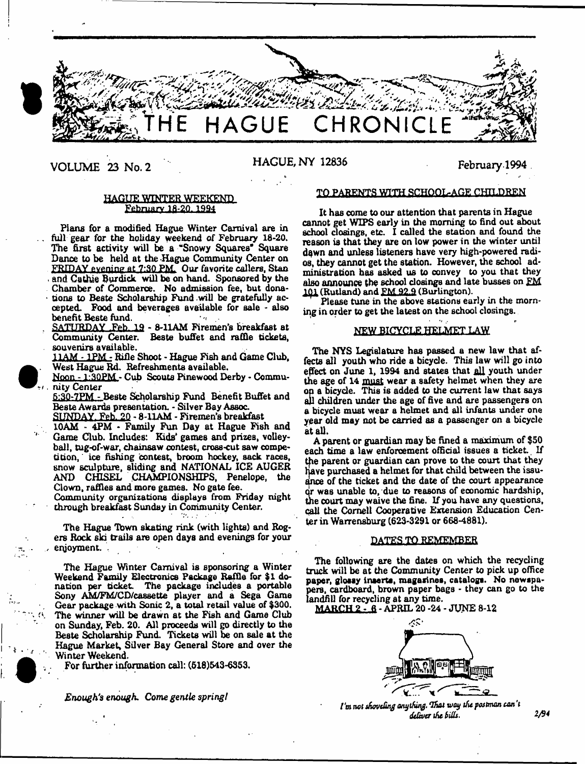

VOLUME 23 No. 2 HAGUE, NY 12836 February 1994

# HAGUE WINTER WEEKEND February 18-20.1994

Plans for a modified Hague Winter Carnival are in full gear for the holiday weekend of February 18-20. The first activity will be a "Snowy Squares" Square Dance to be held at the Hague Community Center on FRIDAY evening at 7:30 PM. Our favorite callers, Stan and Cathie Burdick will be on hand. Sponsored by the Chamber of Commerce. No admission fee, but dona tions to Beste Scholarship Fund will be gratefully accepted. Food and beverages available for sale - also benefit Beste fund.

SATURDAY Feb. 19 - 8-11AM Firemen's breakfast at Community Center. Beste buffet and raffle tickets, souvenirs available.

11AM - 1PM - Rifle Shoot - Hague Fish and Game Club, West Hague Rd. Refreshments available.

Noon - 1:3QPM - Cub Scouts Pinewood Derby - Commu nity Center

5:30-7FM - Beste Scholarship Fund Benefit Buffet and Beste Awards presentation. - Silver Bay Assoc.

SUNDAY Feb. 20 - 8-UAM - Firemen's breakfast

10AM - 4PM - Family Fun Day at Hague Fish and Game Club. Includes: Kids' games and prizes, volleyball, tug-of-war, chainsaw contest, cross-cut saw competition, ice fishing contest, broom hockey, sack races, snow sculpture, sliding and NATIONAL ICE AUGER AND CHISEL CHAMPIONSHIPS, Penelope, the Clown, raffles and more games. No gate fee.

Community organizations displays from Friday night through breakfast Sunday in Community Center.

The Hague Tbwn skating rink (with lights) and Rogers Rock ski trails are open days and evenings for your , enjoyment. .

The Hague Winter Carnival is sponsoring a Winter Weekend Family Electronics Package Raffle for \$1 donation per ticket. The package includes a portable Sony AM/FM/CD/cassette player and a Sega Game Gear package with Sonic 2, a total retail value of \$300. The winner will be drawn at the Fish and Game Club on Sunday, Feb. 20. All proceeds will go directly to the Beste Scholarship Fund. Tickets will be on sale at the Hague Market, Silver Bay General Store and over the Winter Weekend.

. For further information call: (518)543-8353.

*Enough's enough. Come gentle springI*

^ ■ *I*

## TO PARENTS WITH SCHOOL-AGE CHILDREN

It has come to our attention that parents in Hague cannot get WIPS early in the morning to find out about school closings, etc. I called the station and found the reason is that they are on low power in the winter until dqwn and unless listeners have very high-powered radios, they cannot get the station. However, the school administration has asked us to convey to you that they also announce the school closings and late busses on FM 101 (Rutland) and FM 92.9 (Burlington).

Please tune in the above stations early in the morning in order to get the latest on the school closings.

# NEW BICYCLE HELMET LAW

The NYS Legislature has passed a new law that affects all youth who ride a bicycle. This law will go into effect on June 1, 1994 and states that all youth under the age of 14 must wear a safety helmet when they are on a bicycle. This is added to the current law that says all children under the age of five and are passengers on a bicycle must wear a helmet and all infants under one year old may not be carried as a passenger on a bicycle at all.

A parent or guardian may be fined a maximum of \$50 each time a law enforcement official issues a ticket. If the parent or guardian can prove to the court that they have purchased a helmet for that child between the issuance of the ticket and the date of the court appearance the court may waive the fine. If you have any questions, r was unable to, due to reasons of eoonomic hardship, call the Cornell Cooperative Extension Education Center in Warrensburg (623-3291 or 668-4881).

# DATES TO REMEMBER

The following are the dates on which the recycling truck will be at the Community Center to pick up office paper, glossy inserts, magazines, catalogs. No newspapers, cardboard, brown paper bags - they can go to the landfiU for recycling at any time.

MARCH 2 - 6 - APRIL 20 -24 - JTJNE 8-12



*I'm not shoveling anything. That way the postman can't deliver the bills. 2/94*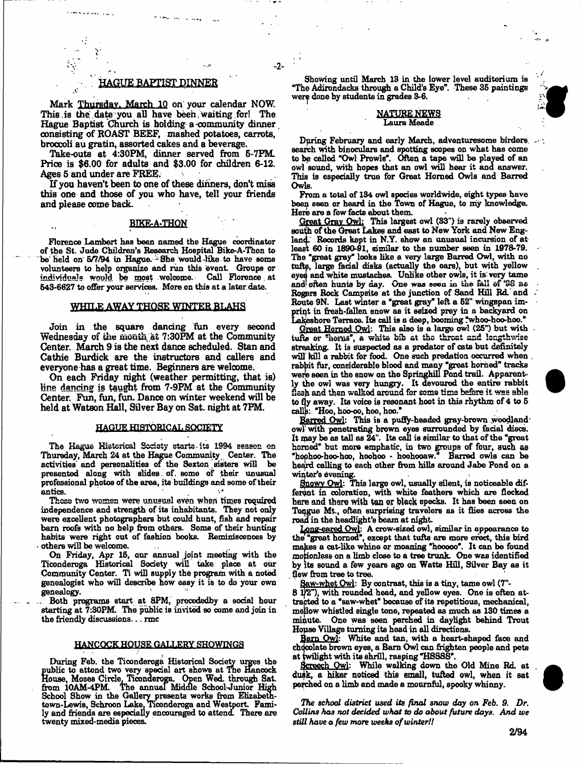# . HAGUE BAPTIST DINNER

*X*

 $-2-$ 

Mark Thursday. March 10 on your calendar NOW. This is the date you all have been waiting for! The Hague Baptist Church is holding a community dinner consisting of ROAST BEEF, mashed potatoes, carrots, broccoli au gratin, assorted cakes and a beverage.

Take-outs at 4:30PM, dinner served from 5-7FM. Price is \$6.00 for adults and \$3.00 for children 6-12. Ages 5 and under are FREE.

If you haven't been to one of these dinners, don't miss this one and those of you who have, tell your friends and please come back.

### **BIKE-A-THON**

Florence Lambert hae been named the Hague coordinator of the St. Jude Children's Research Hospital Bike-A-Thon to be held on 5/7/94 in Hague. She would-like to have some volunteers to help organize and run this event. Groups or individuals would be most welcome. Call Florence. at 643-6627 to offer your services. More on this at a later date.

### WHTLE AWAY THOSE WINTER BLAHS

Join in the square dancing fun every second Wednesday of the month at 7:30PM at the Community Center. March 9 is the next dance scheduled. Stan and Cathie Burdick are the instructors and callers and everyone has a great time. Beginners are welcome.

On each Friday night (weather permitting, that is) line dancing is taught from 7-9PM at the Community Center. Fun, fun, fun. Dance on winter weekend will be held at Watson Hall, Silver Bay on Sat. night at 7PM.

#### HAGUE HISTORICAL SOCIETY

The Hague Historical Sacisty starts its 1994 season on Thursday, March 24 at the Hague Community Center. The activities and personalities of the Sexton sisters will be presented along with slides, of, some of their unusual professional photos of the area, its buildings and some of their antics.

These two women were unusual even when times required independence and strength of its inhabitants. They not only were excellent photographers but could hunt, fish and repair barn roofs with no help from others. Some of their hunting habits were right out of fashion books. Reminiscences by others will be welcome.

On Friday, Apr 16, our annual joint meeting with the Ticonderoga Historical Society will take place at our Community Center. Ti will supply the program with a noted genealogist who will describe how easy it is to do your own genealogy.

Both programs start at 8PM, precededby a social hour starting at  $\overline{7:}30\overline{P}M$ . The public is invited so come and join in the friendly discussions... rmc

### HANCOCK HOUSE GALLERY SHOWTNGS

During Feb. the Ticonderoga Historical Society urges the public to attend two very special art shows at The Hancock House, Mooes Circle, Ticonaeroga. Open Wed. through Sat from 10AM-4PM. The annual Middle School-Junior High School Show in the Gallery presents works from Elizabethtown-Lewis, Schroon Lake, Ticonderoga and Westport. Family and friends are especially encouraged to attend. There are twenty mixed-media pieces.

Showing until March 18 in the lower level auditorium is 'The Adirondacks through a Child's Eye". These 36 paintings were done by students in grades 3-6.

#### NATURE NEWS Laura Meade

During February and early March, adventuresome birders... Bearch with binoculars and spotting scopes on what has come to be called "Owl Prowls". Often a tape will be played of an owl sound, with hopes that an owl will hear it and answer. This is especially true for Great Homed Owls and Barred Owls.

From a total of 134 owl species worldwide, eight types have been seen or heard in the Town of Hague, to my knowledge. Here are a few facts about them.

Great Gray Owl: This largest owl (33") is rarely observed south of the Great Lakes and east to New York and New England. Records kept in N.Y. show an unusual incursion of at least 60 in 1890-91, similar to the number seen in 1978-79. The "great gray" looks like a very large Barred Owl, with no and often hunts by day. One was seen in the fall of '98 ne tufts, large facial disks (actually the ears), but with yellow eyes and white mustaches. Unlike other owls, it is very tame Rogers Rock Campsite at the junction of Sand Hill Rd. and Route 9N. Last winter a "great gray" left a 52" wingspan imprint in fresh-fallen snow as it seized prey in a backyard on Lakeshore Terrace. Its call is a deep, booming "whoo-hoo-hoo."

Great Horned Owl: This also is a large owl (25") but with tufte or "horns", a white bib at the threat and lengthwise streaking. It is suspected as a predator of cats but definitely will kill a rabbit for food. One such predation occurred when rabbit fur, considerable blood and many "great horned" tracks were seen in the snow on the Springhill Pond trail. Apparently the owl was very hungry. It devoured the entire rabbit flesh and then walked around for some time before it was able to fly away. Its voice is resonant hoot in this rhythm of  $4$  to  $5$ calls: "Hoo, hoo-oo, hoo, hoo."

Barred Owl: This is a puffy-headed gray-brown woodland owl with penetrating brown eyes surrounded by facial discs. It may be as tall as  $24$ ". Its call is similar to that of the "great It may be as the as 24". Its call to the matter of the two groups of four, such as  $\frac{1}{2}$  hochoo-hoo-hoo. hochoo - hochooaw, Barred owls can be heard calling to each other from hills around Jabe Pond on a heard calling to each other from him himself on a circle on a position winter's evening.<br>Snowy Owl: This large owl, usually silent, is noticeable dif-

ferent in coloration, with white feathers which are flecked here and there with tan or black specks. It has been seen on Tongue Mt., often surprising travelers as it flies across the road in the headlight's beam at night.

Long-eared Owl: A crow-sized owl: Long-earth or the Castle of the Castle of the Castle of the Castle of the Castle of the Castle of the Castle of Theorem in a control of the Castle of the Castle of the Castle of the Castle of the Castle of the Castle of th makes a cat-like whine or moaning "hooooo". It can be found motionless on a limb close to a tree trunk. One was identified by its sound a few years ago on Watts Hill, Silver Bay as it flew from tree to tree.

<u>Saw-whet Owl</u>: By contrast, this is a tiny, tame owl (7"-

 $8 \frac{1}{2}$ , with rounded head, and yellow eyes. One is often attracted to a "saw-whet" because of its repetitious, mechanical, mellow whistled single tone, repeated as much as 130 times a minute. One was seen perched in daylight behind Trout House Village turning its head in all directions.

Barn Owl: White and tan, with a heart-shaped face and chocolate brown eyes, a Barn Owl can frighten people and pets at twilight with its shrill, rasping "HSSSS".

Screech Owl: While walking down the Old Mine Rd. at dusk, a hiker noticed this small, tufted owl, when it sat  $\frac{d}{dx}$ ,  $\frac{d}{dx}$  and  $\frac{d}{dx}$  a  $\frac{d}{dx}$  and  $\frac{d}{dx}$  a mournful, appoint which  $\frac{d}{dx}$ perched on a limb and made a mournful, spooky whinny.

*The school district used its final snow day on Feb. 9. Dr. Collins has not decided what to do about future days. And we still have a few more weeks of winter!!*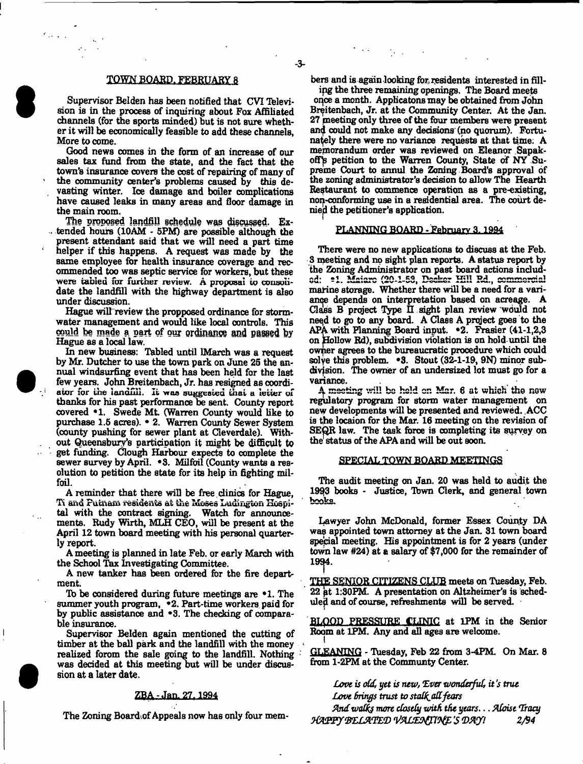# TOWN BOARD. FEBRUARY 8

Supervisor Belden has been notified that CVI Television is in the process of inquiring about Fox Affiliated channels (for the sports minded) but is not sure whether it will be economically feasible to add these channels. More to come.

Good news comes in the form of an increase of our sales tax fund from the state, and the fact that the town's insurance covers the cost of repairing of many of the community center's problems caused by this devasting winter. Ice damage and boiler complications have caused leaks in many areas and floor damage in the main room.

The proposed landfill schedule was discussed. Ex- $\therefore$  tended hours (10AM - 5PM) are possible although the present attendant said that we will need a part time helper if this happens. A request was made by the same employee for health insurance coverage and recommended too was septic service for workers, but these were tabled for further review. A proposal to consolidate the landfill with the highway department is also under discussion.

Hague will review the propposed ordinance for stormwater management and would like local controls. This oouid be made a part of ouj ordinance and **passed by** Hague as a local law.

In new business: Tabled until IMarch was a request by Mr. Dutcher to use the town park on June 25 the annual windsurfing event that has been held for the last few years. John Breitenbach, Jr. has resigned as coordi-<br>ator for the landfill. It was suggested that a letter of thanks for his past performance be sent. County report covered \*1. Swede Mt. (Warren County would like to purchase 1.6 acres). • 2. Warren County Sewer System (county pushing for sewer plant at Cleverdale). Without Queensbury's participation it might be difficult to get funding. Clough Harbour expects to complete the sewer survey by April. \*3. Milfoil (County wants a resolution to petition the state for its help in fighting milfoil.

A reminder that there will be free clinics for Hague, Ti and Futnam residents at the Moses Ludington Hospital with the contract signing. Watch for announcements. Rudy Wirth, MLH CEO, will be present at the April 12 town board meeting with his personal quarterly report.

A meeting is planned in late Feb. or early March with the School Tax Investigating Committee.

A new tanker has been ordered for the fire department.

lb be considered during future meetings are \*1. The summer youth program, •2. Part-time workers paid for by public assistance and \*3. The checking of comparable insurance.

 $\overline{\phantom{a}}$ 

Supervisor Belden again mentioned the cutting of timber at the ball park and the landfill with the money realized forom the sale going to the landfill. Nothing was decided at this meeting but will be under discussion at a later date.

## ZBA-Jan. 27.1994

The Zoning Board .of Appeals now has only four mem-

bers and is again looking for, residents interested in fill-

ing the three remaining openings. The Board meets once a month. Applicatons may be obtained from John Breitenbach, Jr. at the Community Center. At the Jan. 27 meeting only three of the four members were present anf could not make any decisions (no quorum). Fortunately there were no variance requests at that time; A memorandum order was reviewed on Eleanor Sapakoff's petition to the Warren County, State of NY Supreme Court to annul the Zoning Board's approval of the zoning administrator's decision to allow The Hearth Restaurant to commence operation as a pre-existing, non-conforming use in a residential area. The court denied the petitioner's application.

### PLANNING BOARD - February 3.1934

There were no new applications to discuss at the Feb. 3 meeting and no sight plan reports. A status report by the Zoning Administrator on past board actions indud- (20.1.59, Decker Hill Rd., commercial marine storage. Whether there will be a need for a variance depends on interpretation based on acreage. A Class B project Type II sight plan review would not need to go to any board. A Class A project goes to the APA with Planning Board input.  $\bullet$ 2. Frasier (41-1,2,3) on follow Rd), subdivision violation is on hold until the owner agrees to the bureaucratic procedure which could solve this problem.  $\cdot$  3. Stout (32-1-19, 9N) minor subdivision. The owner of an undersized lot must go for a variance.

A meeting will be held on Mar. 6 at which the new regulatory program for storm water management on new developments will be presented and reviewed. ACC is the locaion for the Mar. 16 meeting on the revision of SEQR law. The task force is completing its survey on the status of the APA and will be out soon.

#### SPECIAL TOWN BOARD MEETINGS

The audit meeting on Jan. 20 was held to audit the 1993 books - Justice, Tbwn Clerk, and general town books.

Lawyer John McDonald, former Essex County DA was appointed town attorney at the Jan. 31 town board special meeting. His appointment is for 2 years (under town law #24) at e salary of \$7,000 for the remainder of 19^4.

THff SENIOR CITIZENS CLUB meets on Tuesday, Feb. 22 pt 1:30PM. A presentation on Altzheimer's is scheduled and of course, refreshments will be served.  $\blacksquare$ 

BLQQP .PRESSURE CLINIC at 1PM in the Senior Room at 1PM. Any and all ages are welcome.

GLEANING - Tuesday, Feb 22 from 3-4PM. On Mar. 8 from 1-2PM at the Communty Center.

*Love is oCdt yet is new, Tver wonderful, it's true Love Brings trust to staQ^adfears find walks more closely zinth the years*. .. *Aloise Tracy W m y f8LLX\$LtD 'S \*D!Kfl 2/94*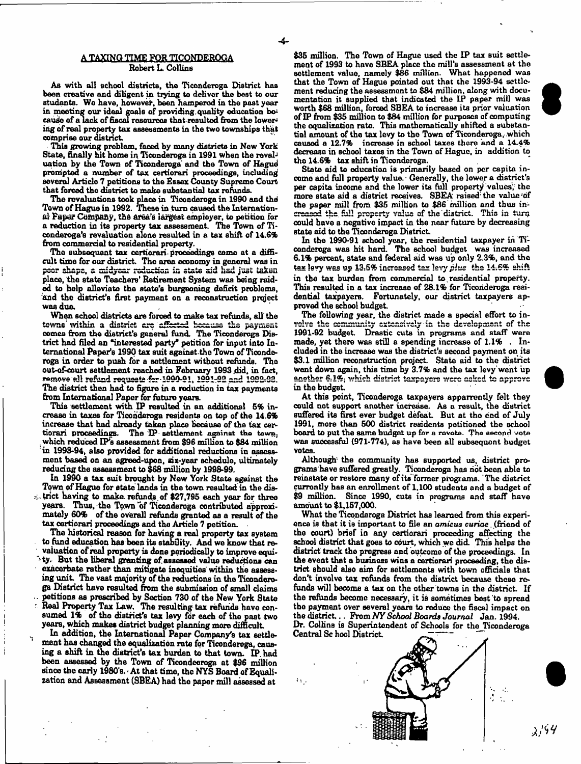## A TAXING TIME FOR TICONDEROGA Robert L. Collins

As with all school districts, the Ticonderoga District has been creative and diligent in trying to deliver the best to our students. Wo have, however, been hampered in the past year in meeting our ideal goals of providing quality education because of a lack of fiscal resources that resulted from the lowering of real property tax assessments in the two townships that comprise our district.

This growing problem, faced by many districts in New York State, finally hit home in Ticonderoga in 1991 when the revaluation by the Town of Ticonderoga and the Town of Hagud prompted a number of tax certiorari proceedings, including Boveral Article 7 petitions to the Essex County Supreme Court that forced the district to make substantial tax refunds.

The revaluations took place in Ticonderoga in 1990 and the Town of Hague in 1992. These in turn caused the International Paper Company, the area's largest employer, to petition for a reduction in its property tax assessment. The Town of Ticondoroga's revaluation alone resulted in a tax shift of 14.6% from commercial to residential property.

The subsequent tax certiorari proceedings came at a difficult time for our district. The area economy in general was in peer shape, a midyear reduction in state aid had just taken place, the state Teachers' Retirement System was being raided to help alleviate the state's burgeoning deficit problems, and the district's first payment on a reconstruction project was due.

When school districts are forced to make tax refunds, all the tewns within a district are affected because the payment comes from the district's general fund. The Ticonderoga District had filed an "interested party\* petition for input into International Paper's 1990 tax suit against.the Town of Ticonderoga in order to push for a settlement without refunds. The out-of-court settlement reached in February 1993 did, in fact, namove all refund requests for 1999-91, 1991-92 and 1992-93. The district then had to figure in a reduction in tax payments from International Paper for future years.

This settlement with IP resulted in an additional 6% increase in taxes for Ticonderoga residents on top of the 14.6% increase that had already taken place because of the tax *cer~* tiorari proceedings. The 'IP- settlement against the town. . which reduced IP's assessment from \$96 million to \$84 million in 1993-94, also provided for additional reductions in assessment based on an agreed-upon, six-year schedule, ultimately reducing the assessment to \$68 million by 1998-99.

In 1990 a tax suit brought by New York State against the Town of Hague for state lands in the town resulted in the district having to make, refunds.of \$27,795 each year for three years. Thus, the Town of Ticonderoga contributed approximately 60% of the overall refunds granted as a result of the tax certiorari proceedings and the Article 7 petition.

The historical reason for having a real property tax system to fund education has been its stability. And we know that revaluation of real property is done periodically to improve equi-1 ty. But the liberal granting of. assessed value reductions can exacerbate rather than mitigate inequities within the assessing unit The vast majority of the reductions in the Ticonderoga District have resulted from the submission of small claims petitions as prescribed by Section 730 of the New York State Real Property Tax Law. The resulting tax refunds have consumed 1% of the district's tax levy for each of the past two years, which makes district budget planning more difficult

^ In addition, the International Paper Company's tax settlement has changed the equalization rate for Ticonderoga, causing a shift in the district's tax burden to that town. IP. had been assessed by the Town of Ticondeeroga at \$96 million since the early 1980's. At that time, the NYS Board of Equalization and Assessment (SBEA) had the paper mill assessed at

\$35 million. The Town of Hague used the IP tax suit settlement of 1993 to have SBEA place the mill's assessment at the settlement value, namely \$86 million. What happened was that the Town of Hague pointed out that the 1993-94 settlement reducing the assessment to \$84 million, along with documentation it supplied that indicated the IP paper mill was worth \$68 million, forced SBEA to increase its prior valuation of IP from \$35 million to \$84 million for purposes of computing the equalization rate. This mathematically shifted a substantial amount of the tax levy to the Town of Ticonderoga, which caused a 12.7% increase in school taxes there and a 14.4% decrease in school taxes in the Town of Hague, in addition to tho 14.6% tax shift in Ticonderoga.

State aid to education is primarily based on per capita income and full property value. • Generally, the lower a district's per capita income and the lower its full property values; the more state aid a district receives. SBEA raised the value of the paper mill from \$35 million to \$86 million and thus increased the full property value of the district. This in turn could have a negative impact in the near future by decreasing state aid to the Ticonderoga District.

In the 1990-91 school year, the residential taxpayer in Ticonderoga was hit hard. The school budget was increased 6.1% percent, state and federal aid was up only 2.3%, and the tax levy was up 13.5% increased tex levy plus the 14.6% shift in the tax burden from commercial to.residential property. This resulted in a tax increase of 28.1% for Ticonderoga residential taxpayers. Fortunately, our district taxpayers approved the school budget.

The following year, the district made a special effort to involve the community extensively in the development of the 1991-92 budget. Drastic cuts in programs and staff were made, yet there was still a spending increase of 1.1% . Included in the increase was the district's second payment on its \$3.1 million reconstruction project. State aid to the district went down again, this time by 3.7% and the tax levy went 'up anether  $6.1\%$ , which district taxpayers were asked to approve in the budget

At this point, Ticonderoga taxpayers apparrently felt they could not support another increase. As a result, the district suffered its first ever budget defeat But at tho end of July 1991, more than 500 district residents petitioned the school board to put the same budget up for a rovote. The second vote was successful (971-774), as have been all subsequent budget votes.

Although the community has supported us, district programs have suffered greatly. Ticonderoga has not been able to reinstate or restore many of its former programs. The district currently has an enrollment of 1.100 students and a budget of \$9 million. Since 1990, cuts in programs and staff have amount to \$1,157,000.

What the Ticonderoga District has learned from this experience is that it 1b important to file an *amicus curiae*. (friend of the court) brief in any certiorari proceeding affecting the school district that goes to court, which we did. This helps the district track the progress and outeomo of the proceedings. In the event that a business wins a certiorari proceeding, the district should also aim for settlements with town officials that don't involve tax refunds from the district because these refunds will become a tax on the other towns in the district If the refunds become necessary, it is sometimes best to spread the payment over several years to reduce the fiscal impact on the district... From *N Y School Boards Journal* Jan. 1994.

Dr. Collins is Superintendent of Schools for tho Ticonderoga Central Sc hool District.

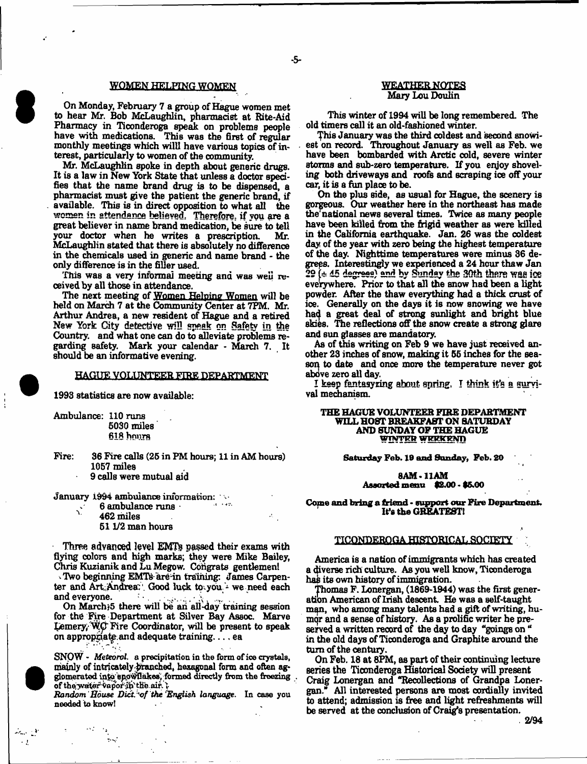### WOMEN HELPING WOMEN

On Monday, February 7 a group of Hague women met to hear Mr. Bob McLaughlin, pharmacist at Rite-Aid Pharmacy in Ticonderoga speak on problems people have with medications. This was the first of regular monthly meetings which willl have various topics of interest, particularly to women of the community

Mr. McLaughlin spoke in depth about generic drugs. It is a law in New York State that unless a doctor specifies that the name brand drug is to be dispensed, a pharmacist must give the patient the generic brand, if available. This is in direct opposition to what all the women in attendance believed: Therefore, if vou are a great believer in name brand medication, be sure to tell your doctor when he writes a prescription. Mr. McLaughlin stated that there is absolutely no difference in the chemicals used in generic and name brand - the only difference is in the filler used.

This was a very informal meeting and was well received by all those in attendance.

The next meeting of Women Helping Women will be held on March 7 at the Community Center at 7PM. Mr. Arthur Andrea, a new resident of Hague and a retired New York City detective will **speak on** Safety in the Country, and what one can do to alleviate problems regarding safety. Mark your calendar - March 7. It should be an informative evening.

# HAGUE VOLUNTEER FIRE DEPARTMENT

1993 statistics are now available:

Ambulance: 110 runs 5030 miles 618 hours

Fire: 36 Fire calls (25 in FM hours; 11 in AM hours) 1057 miles 9 calls were mutual aid

January 1994 ambulance information: •

6 ambulance runs  $\cdot$ 

 $v = 462$  miles

 $\sigma_{\rm{max}}$ 

المحيا المتعاد  $\sim 1$ 

511/2 man hours

Three **advanced level EMTs passed** their exams with flying colors and high marks; they were Mike Bailey, Chris Kuzianik and Lu Megow. Congrats gentlemen!

Two beginning EMTs are in training: James Carpenter and Art Andrear. Good luck to you- we need each and everyone. and everyone.  $\mathbb{R}^3$  ,  $\mathbb{R}^3$  ,  $\mathbb{R}^3$  ,  $\mathbb{R}^3$ 

On Marchj5 there will be an all-day training session for the Fire Department at Silver Bay Assoc. Marve Lemery/Wp' Fire Coordinator, will be present to speak on appropriate and adequate training.... $ea$ 

SNOW - *Meteorol.* a precipitation in the form of ice crystals, mainly of intricately branched, hexagonal form and often agglomerated into epowllakes, formed directly from the freezing. of thoweder VaporiP th'oaif. *\*

Random House Dict. of the English language. In case you needed to know!

# WEATHER NOTES Mary Lou Doulin

This winter of 1994 will be long remembered. The old timers call it an old-fashioned winter.

This January was the third coldest and second snowiest on record. Throughout January as well as Feb. we have been bombarded with Arctic cold, severe winter storms and sub-zero temperature. If you enjoy shoveling both driveways and roofs and scraping ice off your car, it is a fun place to be.

On the plus side, as usual for Hague, the scenery is gorgeous. Our weather here in the northeast has made the national news several times. Twice as many people have been killed from the frigid weather as were killed in the California earthquake. Jan. 26 was the coldest day of the year with zero being the highest temperature of the day. Nighttime temperatures were minus 36 degrees. Interestingly we experienced a 24 hour thaw Jan  $29$  ( $\pm$  45 degrees) and by Sunday the 30th there was ice everywhere. Prior to that all the snow had been a light powder. After the thaw everything had a thick crust of ice. Generally on the days it is now snowing we have had a great deal of strong sunlight and bright blue skies. The reflections off the snow create a strong glare and sun glasses are mandatory.

As of this writing on Feb 9 we have just received another 23 inches of snow, making it 55 inches for the season to date and once more the temperature never got above zero all day.

**I keep** fantasy zing about **spring. I** think **it's s survi**val mechanism.

## **THE HAGUE VOLUNTEER FIRE DEPARTMENT WILL HOST BREAKFAST ON SATURDAY AND SUNDAY OF THE HAGUE** WINTER WEEKEND

**Saturday Feb. 19 and Sunday, Feb. 20**

**8AM-**11AM **Assorted menu \$2.00 > \$5.00**

**Come and bring a friend - support our Fire Department.** It's the GREATESTl

# TICONDEROGA HISTORICAL SOCIETY

America is a nation of immigrants which has created a diverse rich culture. As you well know, Ticonderoga has its own history of immigration.

Thomas F. Lonergan, (1869-1944) was the first generation American of Irish descent. He was a self-taught man, who among many talents had a gift of writing, humor and a sense of history. As a prolific writer he preserved a written record of the day to day "goings on " in the old days of Ticonderoga and Graphite around the turn of the century.

On Feb. 18 at 8PM, as part of their continuing lecture **series** the Ticonderoga Historical Society will present Craig Lonergan and "Recollections of Grandpa Lonergan." All interested persons are most cordially invited to attend; admission is free and light refreshments will be served at the conclusion of Craig's presentation.

.2/94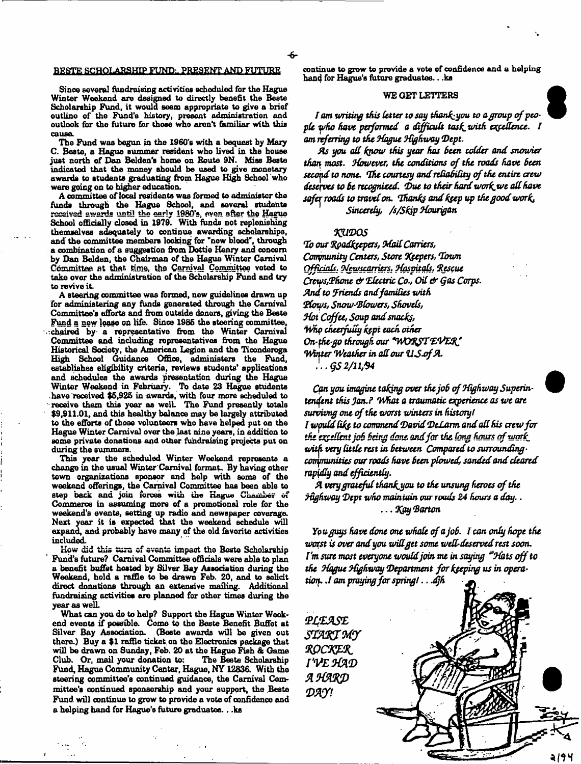#### BESTE SCHOLARSHIP FUND:. PRESENT AND FUTURE

Since several fundraising activities scheduled for the Hague Winter Weekend are designed to directly benefit the Beste Scholarship Fund, it would seem appropriate to give a brief outline of the Fund's history, present administration and outlook for the future for those who aren't familiar with this cause.

The Fund was begun in the 1960's with a bequest by Mary C. Beste, a Hague summer resident who lived in the house just north of Dan Belden's home on Route 9N. Mias Beste indicated that the money should be used to give monetary awards to students graduating from Hague High School who were going on to higher education.

A committee of local residents was formed to administer the funds through the Hague School, and several students received awards until the early 1980's, even after the Hague School officially dosed in 1979. With funds not replenishing themselves adequately to continue awarding scholarships, and the committee members looking for "new blood", through a combination of a suggestion from Dottie Henry and concern by Dan Belden, the Chairman of the Hague Winter Carnival Committee at that time, the Carnival Committee voted to taka over the administration of the Scholarship Fund and try to revive it.

A steering committee was formed, new guidelines drawn up for adminiotaring any funds generated through the Carnival Committee's efforts and from outside donors, giving the Beste Fund a new lease on life. Since 1986 the steering committee, ^chaired by a representative from the Winter Carnival Committee and induding representatives from the Hague Historical Society, the American Legion and the Ticonderoga High School Guidance Office, administers the Fund, establishes eligibility criteria, reviews students' applications and schedules the awards presentation during the Hague Winter Weekend in February. To date 23 Hague students have received \$6,926 in awards, with four more scheduled to receive them this year as well The Fund presently totals \$9,911.01, and this healthy balance may be largely attributed to the efforts of those volunteers who have helped put on the Hague Winter Carnival over the last nine years, in addition to some private donations and other fundraising projects put on during the summers.

This year the scheduled Winter Weekend represents a change in the usual Winter Carnival format. By having other town organizations sponsor and help with some of the weekend offerings, the Carnival Committee has been able to step back and join forces with the Hague Chounber of Commerce in assuming more of a promotional role for the weekend's events, setting up radio and newspaper coverage. Next year it is expected that the weekend schedule will expand, and probably have many of the old favorite activities included.

How did this turn of events impact tho Bosto Scholarship Fund's future? Carnival Committee officials were able to plan a benefit buffet hosted by Silver Bay Association during the Weekend, bold a raffle to be drawn Feb. 20, and to solicit direct donations through an extensive mailing. Additional fundraising activitiee are planned for other times during the year as well.

What can you do to help? Support the Hague Winter Weekend events if possible. Come to the Beste Benefit Buffet at Silver Bay Association. (Beete awards will be given out there.) Buy a \$1 raffle ticket, on the Electronics package that will be drawn on Sunday, Feb. 20 at the Hague Fish & Game Club. Or, mail your donation to: The Beste Scholarship Club. Or, mail your donation to: Fund, Hague Community Center, Hague, NY 12836. With the steering committee's continued guidance, the Carnival Committee's continued sponsorship and your support, the .Beste Fund will continue to grow to provide a vote of confidence and a helping hand for Hague's future graduates.. .ks

continue to grow to provide a vote of confidence and a helping han4 for Hague's future graduates.. .ks

# WE GET LETTERS

I am writing this letter to say thank-you to a group of peo*pU v>ha Have performed a difficult task, with expedience. I am referring to the Hague highway Dept.*

*As you* off *know this year has Been udder and snowier than most. However, the conditions of the roads have Been second to none. The courtesy and reliability of the entire, crew deserves to Bt recognized. (Due to their hard workjwe att have safer roads to travel on. Thanks and ksep up the good work. Sincerely, /s/Skip Hourigan*

# *'KU'DOS*

*To our fyodksepers, Mail Carriers, Community Centers, Store Hfepers, Town Qffianh. Hewscarriers.* 3*Hospitals, Rescue Creeps,Rhone & Tdutric Co., Oil & gas Corps And. to friends and families with flows, Snowblowers, Shovels, Mot Coffee, Soup and snacks, why cheerfully ks-pt each other* On-the-go through our "WORST EVER" *Winter Weather in all our U.S.of A.* 

}.. *QS 2/11/94*

*Can you imagine taking over the joB of Highway Superin*tendent this Jan.? What a traumatic experience as we are *survizmg one of the worst winters in history* / *f wpuld Ukf to commend David DtLarm and all his crew for the excellent job Being dent and far the (eng hour\* of work, witp very little rest in Between Compared to surrounding\* conynunitits our roads have Been plowed, sanded and cleared rapidly and efficiently.*

A very grateful thank you to the unsung heroes of the *Highway 'Dept who maintain our roads 24 hours a day..* ... *T^ty (Barton*

You guys have done one whole of a job. I can only hope the *worst is over andyou widget some wed-deserved rest soon. I'm sure most everyone would join me in saying "Hats off to the Hague Highway Department for keeping us in operatioif. J am praying for spring!.. .djh*

2 i 9 4

PLEASE *s m s t e y HQCKpfL* I'VE HAD *A X M /P my\**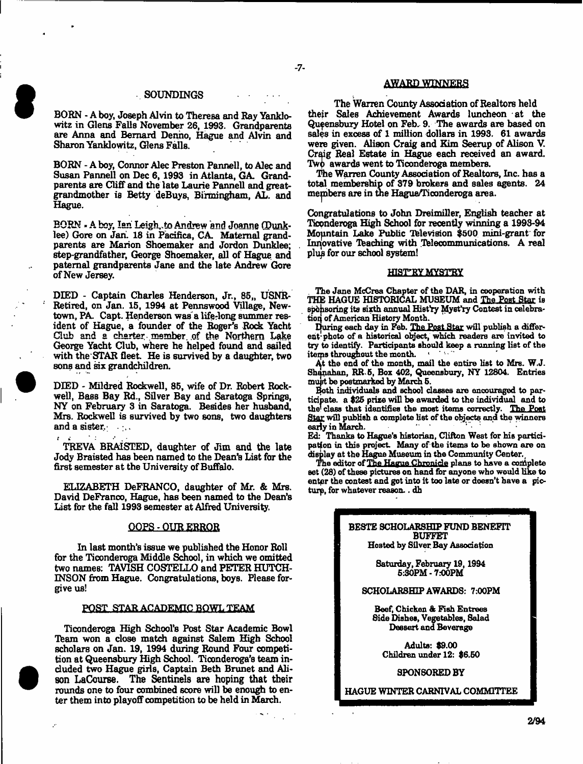#### SOUNDINGS

BORN - A boy, Joseph Alvin to Theresa and Ray Yanklowitz in Glens Falls November 26, 1993. Grandparents are Anna and Bernard Denno, Hague and Alvin and Sharon Yanklowitz, Glens Falls.

BORN - A boy, Connor Alec Preston Pannell, to Alec and Susan Pannell on Dec 6,1993 in Atlanta, GA. Grandparents are Cliff and the late Laurie Pannell and greatgrandmother is Betty deBuys, Birmingham, AL. and Hague.

BORN - A boy, Ian Leigh, to Andrew and Joanne (Dunklee) Gore on Jan. 18 in Pacifica, CA. Maternal grandparents are Marion Shoemaker and Jordon Dunklee; step-gran dfather, George Shoemaker, all of Hague, and paternal grandparents Jane and the late Andrew Gore of New Jersey.

DIED - Captain Charles Henderson, Jr., 85,, USNR-Retired, on Jan. 15, 1994 at Pennswood Village, Newtown, PA. Capt. Henderson was a life-long summer resident of Hague, a founder of the Roger's Rock Yacht Club and a charter member .of the Northern Lake George Yacht Club, where he helped found and sailed with the STAR fleet. He is survived by a daughter, two sons and six grandchildren.

DEED - Mildred Rockwell, 85, wife of Dr. Robert Rockwell, Bass Bay Rd., Silver Bay and Saratoga Springs, NY on February 3 in Saratoga. Besides her husband, Mrs. Rockwell is survived by two sons, two daughters and a sister. $\cdot$ .

TREVA BRAISTED, daughter of Jim and the late Jody Braisted has been named to the Dean's List for the first semester at the University of Buffalo.

ELIZABETH DeFRANCO, daughter of Mr. & Mrs. David DeFranco, Hague, has been named to the Dean's List for the fall 1993 semester at Alfred University.

## QQPS-QUR ERROR

In last month's issue we published the Honor Roll for the Ticonderoga Middle School, in which we omitted two names: TAVISH COSTELLO and PETER HUTCH-INSON from Hague. Congratulations, boys. Please forgive us!

#### POST STAR ACADEMIC BQWL TEAM

Ticonderoga High School's Post Star Academic Bowl Team won a close match against Salem High School scholars on Jan. 19, 1994 during Round Four competition at Queensbury High School. Ticonderoga's team included two Hague girls, Captain Beth Brunet and Alison LaCourse. The Sentinels are hoping that their rounds one to four combined score will be enough to enter them into playoff competition to be held in March.

# AWARD WINNERS

The Warren County Association of Realtors held their Sales Achievement Awards luncheon at the Queensbury Hotel on Feb. 9. The awards are based on sales in excess of 1 million dollars in 1993. 61 awards were given. Alison Craig and Kim Seerup of Alison V. Craig Real Estate in Hague each received an award. Two awards went to Ticonderoga members.

The Warren County Association of Realtors, Inc. has a total membership of 379 brokers and sales agents. 24 mepbers are in the Hague/Ticonderoga area.

Congratulations to John Dreimiller, English teacher at Ticonderoga High School for recently winning a 1993-94 Mopitain Lake Public Television \$500 mini-grant for Innovative Teaching with Telecommunications. A real plup for our school system!

#### HIST"RY MYST"RY

The Jane McCrea Chapter of the DAR, in cooperation with THE HAGUE HISTORICAL MUSEUM and The Post Star is sponsoring its sixth annual Hist'ry Myst'ry Contest in celebratioq of American History Month.

During each day in Feb. The Post Star will publish a different photo of a historical object, which readers are invited to try to identify. Participants should keep a running list of the items throughout the month.

At the end of the month, mail the entire list to Mrs. W.J. Shanahan, RR 5, Box 402, Queensbuzy, NY 12804. Entries

Both individuals and school classes are encouraged to participate. a \$25 prize will be awarded to the individual and to the! class that identifies the most items correctly. The Poet Star will publish a complete list of the objects and the winners early in March.

Ed: Thanks to Hague's historian, Clifton West for his participation in this project Many of the items to be shown are on display at the Hague Museum in the Community Center.,

The editor of The Hague Chronicle plans to have a complete set (28) of these pictures on hand for anyone who would like to enter the contest and got into it too late or doesn't have a picturp, for whatever reason.. dh